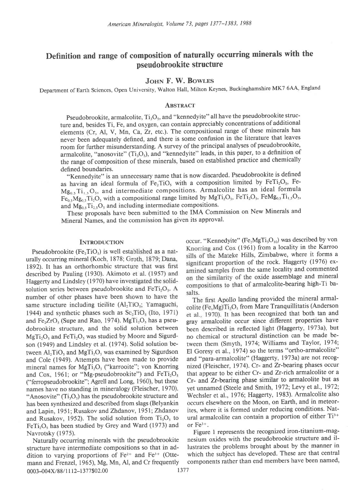# Definition and range of composition of naturally occurring minerals with the Pseudobrookite structure

# JOHN F. W. BOWLES

Department of Earth Sciences, Open University, Walton Hall, Milton Keynes, Buckinghamshire MK7 6AA, England

#### **ABSTRACT**

Pseudobrookite, armalcolite,  $Ti<sub>3</sub>O<sub>5</sub>$ , and "kennedyite" all have the pseudobrookite structure and, besides Ti, Fe, and oxygen, can contain appreciably concentrations of additional elements (Cr, Al, V, Mn, Ca, Zr, etc.). The compositional range of these minerals has never been adequately defined, and there is some confusion in the literature that leaves room for further misunderstanding. A survey of the principal analyses of pseudobrookite, armalcolite, "anosovite"  $(Ti<sub>3</sub>O<sub>5</sub>)$ , and "kennedyite" leads, in this paper, to a definition of the range of composition of these minerals, based on established practice and chemically defined boundaries.

"Kennedyite" is an unnecessary name that is now discarded. Pseudobrookite is defined as having an ideal formula of  $Fe<sub>2</sub>TiO<sub>5</sub>$  with a composition limited by  $FeTi<sub>2</sub>O<sub>5</sub>$ , Fe- $Mg_{0.5}Ti_{1.5}O_5$ , and intermediate compositions. Armalcolite has an ideal formula  $Fe<sub>0.5</sub>Mg<sub>0.5</sub>Ti<sub>2</sub>O<sub>5</sub>$  with a compositional range limited by  $MgTi<sub>2</sub>O<sub>5</sub>$ ,  $FeTi<sub>2</sub>O<sub>5</sub>$ ,  $FeMg<sub>0.5</sub>Ti<sub>1.5</sub>O<sub>5</sub>$ , and  $Mg_{0.5}Ti_{2.5}O_5$  and including intermediate compositions.

These proposals have been submitted to the IMA Commission on New Minerals and Mineral Names, and the commission has given its approval'

urally occurring mineral (Koch, 1878; Groth, 1879; Dana,<br>1892). It has an orthorhombic structure that was first significant proportion of the rock. Haggerty (1976) exdescribed by Pauling (1930). Akimoto et al. (1957) and<br>the similarity of the oxide assemblage and mineral Haggerty and Lindsley (1970) have investigated the solid-<br>compositions to that of armalcolite-bearing high-Ti basolution series between pseudobrookite and  $Feri<sub>2</sub>O<sub>s</sub>$ . A mumber of other phases have been shown to have the<br>same structure including tiellite (Al<sub>2</sub>TiO<sub>5</sub>; Yamaguchi,<br>1944) and synthetic phases such as Sc<sub>2</sub>TiO<sub>5</sub> (Ito, 1971) et al. 1970). It has been recognized that both tan a 1944) and synthetic phases such as  $Sc<sub>2</sub>TiO<sub>s</sub>$  (Ito, 1971) et al., 1970). It has been recognized that both tan and and  $Fe<sub>2</sub>ZrO<sub>s</sub>$  (Supe and Rao, 1974). MgT<sub>12</sub>O<sub>s</sub> has a pseu-<br>grav armalcolite occur since d and Fe<sub>2</sub>ZrO<sub>5</sub> (Supe and Rao, 1974). MgTi<sub>2</sub>O<sub>5</sub> has a pseu-<br>dobrookite structure, and the solid solution between<br>heen described in reflected light (Haggerty, 1973a), but MgTi<sub>r</sub>O<sub>s</sub> and FeTi<sub>2</sub>O<sub>s</sub> was studied by Moore and Sigurdson (1949) and Lindsley et al. (1974). Solid solution be-<br>tween them (Smyth, 1974; Williams and Taylor, 1974; tween Al. Tio., and MgTi.O., was examined by Sigurdson El Goresy et al., 1974) so the terms "ortho-armalcolite" tween  $Al_2TiO_5$  and  $MgTi_2O_5$  was examined by Sigurdson El Goresy et al., 1974) so the terms "ortho-armalcolite" and Cole (1949). Attempts have been made to provide and "para-armalcolite" (Haggerty, 1973a) are not recogand Cole (1949). Attempts have been made to provide mineral names for  $MgTi<sub>2</sub>O<sub>5</sub>$  ("karrooite"; von Knorring nized (Fleischer, 1974). Cr- and Zr-bearing phases occur and Cox, 1961; or "Mg-pseudobrookite") and  $FeTi<sub>2</sub>O<sub>s</sub>$  that appear to be either Cr- and Zr-rich armalcolite or a ("ferropseudobrookite"; Agrell and Long, 1960), but these Cr- and Zr-bearing phase similar to armalcol "Anosovite" (Ti<sub>3</sub>O<sub>5</sub>) has the pseudobrookite structure and Wechsler et al., 1976; Haggerty, 1983). Armalcolite also has been synthesized and described from slags (Belvankin occurs elsewhere on the Moon, on Earth, and in has been synthesized and described from slags (Belyankin and Lapin, 1951; Rusakov and Zhdanov, 1951; Zhdanov  $FeTi, O<sub>s</sub>$  has been studied by Grey and Ward (1973) and Navrotsky (1975). Figure 1 represents the recognized iron-titanium-mag-

dition to varying proportions of Fe<sup>2+</sup> and Fe<sup>3+</sup> (Otte- which the subject has developed. These are that central mann and Frenzel, 1965). Mg. Mn. Al. and Cr frequently components rather than end members have been named, mann and Frenzel, 1965), Mg, Mn, Al, and Cr frequently 0003-004X/88/1112-1377\$02.00 1377

INTRODUCTION occur. "Kennedyite"  $(Fe<sub>2</sub>MgTi<sub>3</sub>O<sub>10</sub>)$  was described by von Pseudobrookite  $(Fe<sub>2</sub>TiO<sub>s</sub>)$  is well established as a nat-<br>nelly aggregate relation of the Mateke Hills, Zimbabwe, where it forms a

been described in reflected light (Haggerty, 1973a), but no chemical or structural distinction can be made be-Cr- and Zr-bearing phase similar to armalcolite but as names have no standing in mineralogy (Fleischer, 1970). yet unnamed (Steele and Smith, 1972; Levy et al., 1972;<br>"Anosovite" (Ti,O<sub>s</sub>) has the pseudobrookite structure and Wechsler et al., 1976; Haggerty, 1983). Armalcolit and Lapin, 1951; Rusakov and Zhdanov, 1951; Zhdanov ites, where it is formed under reducing conditions. Nat-<br>and Rusakov, 1952). The solid solution from  $Ti_3O_5$  to ural armalcolite can contain a proportion of either  $Ti^{3$ ural armalcolite can contain a proportion of either  $Ti^{3+}$ <br>or  $Fe^{3+}$ .

Naturally occurring minerals with the pseudobrookite nesium oxides with the pseudobrookie structure and il-<br>structure have intermediate compositions so that in ad-<br>lustrates the problems brought about by the manner in lustrates the problems brought about by the manner in which the subject has developed. These are that central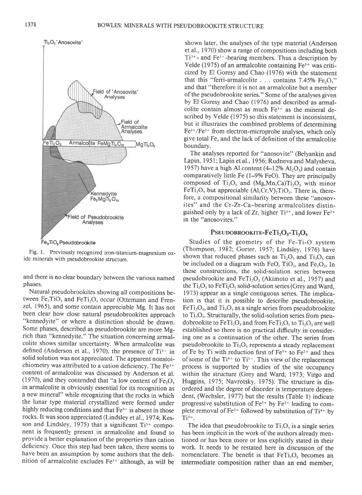l 378



Fig. l. Previously recognized iron-titanium-magnesium oxide minerals with pseudobrookite structure.

and there is no clear boundary between the various named phases.

Natural pseudobrookites showing all compositions between  $Fe<sub>2</sub>TiO<sub>5</sub>$  and  $FeTi<sub>2</sub>O<sub>5</sub>$  occur (Ottemann and Frenzel, 1965), and some contain appreciable Mg. It has not been clear how close natural pseudobrookites approach "kennedyite" or where a distinction should be drawn. Some phases, described as pseudobrookite are more Mgrich than "kennedyite." The situation concerning armalcolite shows similar uncertainty. When armalcolite was defined (Anderson et al., 1970), the presence of  $Ti^{3+}$  in solid solution was not appreciated. The apparent nonstoichiometry was attributed to a cation deficiency. The Fe3+ content of armalcolite was discussed by Anderson et al. (1970), and they contended that "a low content of  $Fe<sub>2</sub>O<sub>3</sub>$ in armalcolite is obviously essential for its recognition as a new mineral" while recognizing that the rocks in which the lunar type material crystallized were formed under highly reducing conditions and that  $Fe<sup>3+</sup>$  is absent in those rocks. It was soon appreciated (Lindsley et al., 1974; Kesson and Lindsley, 1975) that a significant  $Ti^{3+}$  component is frequently present in armalcolite and found to provide a better explanation of the properties than cation deficiency. Once this step had been taken, there seems to have been an assumption by some authors that the definition of armalcolite excludes  $Fe<sup>3+</sup>$  although, as will be

shown later, the analyses of the type material (Anderson et al., 1970) show a range of compositions including both  $Ti<sup>3+</sup>$ - and Fe<sup>3+</sup>-bearing members. Thus a description by Velde (1975) of an armalcolite containing  $Fe<sup>3+</sup>$  was criticized by El Goresy and Chao (1976) with the statement that this "ferri-armalcolite  $\ldots$  contains 7.45% Fe<sub>2</sub>O<sub>2</sub>" and that "therefore it is not an armalcolite but a member of the pseudobrookite series." Some of the analyses given by El Goresy and Chao (1976) and described as armalcolite contain almost as much  $Fe<sup>3+</sup>$  as the mineral described by Velde (1975) so this statement is inconsistent. but it illustrates the combined problems of determining Fe2+/Fe3+ from electron-microprobe analyses, which only give total Fe, and the lack of definition of the armalcolite boundary.

The analyses reported for "anosovite" (Belyankin and Lapin, 1951; Lapin et al., 1956; Rudneva and Malysheva, 1957) have a high Al content  $(4-12\%$  Al<sub>2</sub>O<sub>3</sub>) and contain comparatively little Fe  $(1-9\%$  FeO). They are principally composed of Ti<sub>3</sub>O<sub>5</sub> and (Mg,Mn,Ca)Ti<sub>2</sub>O<sub>5</sub> with minor  $FeTi<sub>2</sub>O<sub>5</sub>$  but appreciable (Al,Cr,V),TiO<sub>5</sub>. There is, therefore, a compositional similarity between these "anosovites" and the Cr-Zr-Ca-bearing armalcolites distinguished only by a lack of Zr, higher  $Ti^{3+}$ , and lower Fe<sup>2+</sup> in the "anosovites."

# PSEUDOBROOKITE-FeTi<sub>2</sub>O<sub>s</sub>-Ti<sub>3</sub>O<sub>s</sub>

Studies of the geometry of the Fe-Ti-O system (Thompson, 1982; Gorter, 1957; Lindsley, 1976) have shown that reduced phases such as  $Ti<sub>2</sub>O<sub>3</sub>$  and  $Ti<sub>3</sub>O<sub>5</sub>$  can be included on a diagram with FeO,  $TiO<sub>2</sub>$ , and Fe<sub>2</sub>O<sub>3</sub>. In these constructions, the solid-solution series between pseudobrookite and FeTi,O, (Akimoto et al., 1957) and the  $Ti<sub>3</sub>O<sub>5</sub>$  to FeTi<sub>2</sub>O<sub>5</sub> solid-solution series (Grey and Ward, 1973) appear as a single contiguous series. The implication is that it is possible to describe pseudobrookite,  $FeTi<sub>2</sub>O<sub>5</sub>$ , and  $Ti<sub>3</sub>O<sub>5</sub>$  as a single series from pseudobrookite to  $Ti<sub>3</sub>O<sub>5</sub>$ . Structurally, the solid-solution series from pseudobrookite to  $FeTi<sub>2</sub>O<sub>5</sub>$  and from  $FeTi<sub>2</sub>O<sub>5</sub>$  to  $Ti<sub>3</sub>O<sub>5</sub>$  are well established so there is no practical difficulty in considering one as a continuation of the other. The series from pseudobrookite to  $Ti<sub>3</sub>O<sub>5</sub>$  represents a steady replacement of Fe by Ti with reduction first of  $Fe^{3+}$  to  $Fe^{2+}$  and then of some of the  $Ti^{4+}$  to  $Ti^{3+}$ . This view of the replacement process is supported by studies of the site occupancy within the structure (Grey and Ward, 1973; Virgo and Huggins, 1975; Navrotsky, 1975). The structure is disordered and the degree of disorder is temperature dependent, (Wechsler, 1977) but the results (Table l) indicate progressive substitution of  $Fe^{3+}$  by  $Fe^{2+}$  leading to complete removal of  $Fe^{3+}$  followed by substitution of Ti<sup>4+</sup> by  $Ti<sup>3+</sup>.$ 

The idea that pseudobrookite to  $Ti<sub>3</sub>O<sub>5</sub>$  is a single series has been implicit in the work of the authors already mentioned or has been more or less explicitly stated in their work. It needs to be restated here in discussion of the nomenclature. The benefit is that  $FeTi, O$ , becomes an intermediate composition rather than an end member,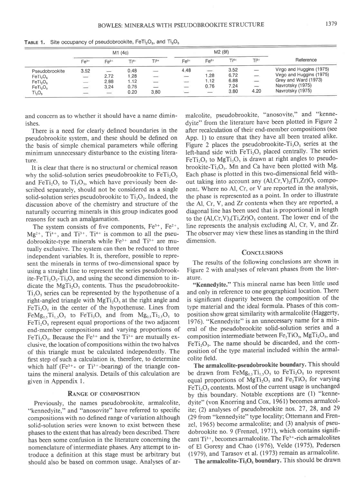|                                  | M1(4c)                   |                          |       |                          | M2 (8f)           |                          |        |                          |                          |  |
|----------------------------------|--------------------------|--------------------------|-------|--------------------------|-------------------|--------------------------|--------|--------------------------|--------------------------|--|
|                                  | $Fe3+$                   | $Fe2+$                   | $T4+$ | $Ti3+$                   | $Fe3+$            | $Fe2+$                   | $Ti4+$ | $T^{13+}$                | Reference                |  |
| Pseudobrookite                   | 3.52                     | $\overline{\phantom{a}}$ | 0.48  | $\overline{\phantom{m}}$ | 4.48              | $\overline{\phantom{m}}$ | 3.52   | $\overline{\phantom{a}}$ | Virgo and Huggins (1975) |  |
| FeTi <sub>2</sub> O <sub>5</sub> | $\overline{\phantom{a}}$ | 2.72                     | 1.28  | $\longrightarrow$        | $\longrightarrow$ | 1.28                     | 6.72   | $\overline{\phantom{m}}$ | Virgo and Huggins (1975) |  |
| FeTi <sub>2</sub> O <sub>s</sub> | $\equiv$                 | 2.88                     | 1.12  | $\sim$                   | $\sim$            | 1.12                     | 6.88   | $\overline{\phantom{a}}$ | Grey and Ward (1973)     |  |
| FeTi <sub>2</sub> O <sub>5</sub> | $\equiv$                 | 3.24                     | 0.76  | $\equiv$                 | $\sim$            | 0.76                     | 7.24   | $\overline{\phantom{a}}$ | Navrotsky (1975)         |  |
| $Ti_3O_5$                        | $\overline{\phantom{m}}$ | $\frac{1}{2}$            | 0.20  | 3.80                     | $\sim$            | $\frac{1}{2}$            | 3.80   | 4.20                     | Navrotsky (1975)         |  |

**TABLE 1.** Site occupancy of pseudobrookite,  $FeTi<sub>2</sub>O<sub>5</sub>$ , and  $Ti<sub>3</sub>O<sub>5</sub>$ 

and concern as to whether it should have a name diminishes.

There is a need for clearly defined boundaries in the pseudobrookite system, and these should be defined on the basis of simple chemical parameters while offering minimum unnecessary disturbance to the existing literature.

It is clear that there is no structural or chemical reason why the solid-solution series pseudobrookite to  $FeTi<sub>2</sub>O<sub>s</sub>$ and FeTi<sub>2</sub>O<sub>5</sub> to Ti<sub>3</sub>O<sub>5</sub>, which have previously been described separately, should not be considered as a single solid-solution series pseudobrookite to  $Ti<sub>3</sub>O<sub>5</sub>$ . Indeed, the discussion above of the chemistry and structure of the naturally occurring minerals in this group indicates good reasons for such an amalgamation.

The system consists of five components,  $Fe^{3+}$ ,  $Fe^{2+}$ ,  $Mg^{2+}$ , Ti<sup>4+</sup>, and Ti<sup>3+</sup>. Ti<sup>4+</sup> is common to all the pseudobrookite-type minerals while  $Fe^{3+}$  and  $Ti^{3+}$  are mutually exclusive. The system can then be reduced to three independent variables. It is, therefore, possible to represent the minerals in terms of two-dimensional space by using a straight line to represent the series pseudobrookite-FeTi<sub>2</sub>O<sub>5</sub>-Ti<sub>3</sub>O<sub>5</sub> and using the second dimension to indicate the  $MgTi<sub>2</sub>O<sub>5</sub>$  contents. Thus the pseudobrookite-Ti.O, series can be represented by the hypothenuse of a right-angled triangle with  $MgTi<sub>2</sub>O<sub>s</sub>$  at the right angle and  $FeTi<sub>2</sub>O<sub>5</sub>$  in the center of the hypothenuse. Lines from FeMg<sub>0.5</sub>Ti<sub>1.5</sub>O<sub>5</sub> to FeTi<sub>2</sub>O<sub>5</sub> and from  $Mg_{0.5}Ti_{2.5}O_5$  to  $FeTi<sub>2</sub>O<sub>s</sub>$  represent equal proportions of the two adjacent end-member compositions and varying proportions of FeTi<sub>i</sub>O<sub>5</sub>. Because the Fe<sup>3+</sup> and the Ti<sup>3+</sup> are mutually exclusive, the location of compositions within the two halves of this triangle must be calculated independently. The first step of such a calculation is, therefore, to determine which half (Fe<sup>3+</sup>- or Ti<sup>3+</sup>-bearing) of the triangle contains the mineral analysis. Details of this calculation are given in Appendix l.

#### **RANGE OF COMPOSITION**

Previously, the names pseudobrookite, armalcolite, "kennedyite," and "anosovite" have referred to specific compositions with no defined range of variation although solid-solution series were known to exist between these phases to the extent that has already been described. There has been some confusion in the literature concerning the nomenclature of intermediate phases. Any attempt to introduce a definition at this stage must be arbitrary but should also be based on common usage. Analyses of armalcolite, pseudobrookite, "anosovite," and "kennedyite" from the literature have been plotted in Figure 2 after recalculation of their end-member compositions (see App. 1) to ensure that they have all been treated alike. Figure 2 places the pseudobrookite- $Ti<sub>3</sub>O<sub>5</sub>$  series at the left-hand side with  $FeTi<sub>2</sub>O<sub>5</sub>$  placed centrally. The series  $FeTi<sub>2</sub>O<sub>5</sub>$  to MgTi<sub>2</sub>O<sub>5</sub> is drawn at right angles to pseudobrookite-Ti<sub>3</sub>O<sub>5</sub>. Mn and Ca have been plotted with Mg. Each phase is plotted in this two-dimensional field without taking into account any  $(AI, Cr, V)_2(Ti, Zr)O_5$  component. Where no Al, Cr, or V are reported in the analysis, the phase is represented as a point. In order to illustrate the Al, Cr, V, and Zr contents when they are reported, a diagonal line has been used that is proportional in length to the  $(AI,Cr,V)<sub>2</sub>(Ti,Zr)O<sub>5</sub>$  content. The lower end of the line represents the analysis excluding Al, Cr, V, and Zr. The observer may view these lines as standing in the third dimension.

# **CONCLUSIONS**

The results of the following conclusions are shown in Figure 2 with analyses of relevant phases from the literature.

"Kennedyite." This mineral name has been little used and only in reference to one geographical location. There is significant disparity between the composition of the type material and the ideal formula. Phases of this composition show great similarity with armalcolite (Haggerty, 1976). "Kennedyite" is an unnecessary name for a mineral of the pseudobrookite solid-solution series and a composition intermediate between  $Fe<sub>2</sub>TiO<sub>5</sub>$ ,  $MgTi<sub>2</sub>O<sub>5</sub>$ , and  $FeTi<sub>2</sub>O<sub>5</sub>$ . The name should be discarded, and the composition of the type material included within the armalcolite field.

The armalcolite-pseudobrookite boundary. This should be drawn from  $FeMg_{0.5}Ti_{1.5}O_5$  to  $FeTi_2O_5$  to represent equal proportions of  $MgTi<sub>2</sub>O<sub>s</sub>$  and Fe<sub>2</sub>TiO<sub>5</sub> for varying  $FeTi<sub>2</sub>O<sub>5</sub>$  contents. Most of the current usage is unchanged by this boundary. Notable exceptions are (l) "kennedyite" (von Knorring and Cox, l96l) becomes armalcolite; (2) analyses of pseudobrookite nos. 27, 28, and 29 (29 from "kennedyite" type locality; Ottemann and Frenzel. 1965) become armalcolite; and (3) analysis of pseudobrookite no. 9 (Frenzel, 1971), which contains significant Ti3+, becomes armalcolite. The Fe3\*-rich armalcolites of El Goresy and Chao (1976), Velde (1975), Pedersen (1979), and Tarasov et al. (1973) remain as armalcolite.

The armalcolite- $Ti<sub>3</sub>O<sub>5</sub>$  boundary. This should be drawn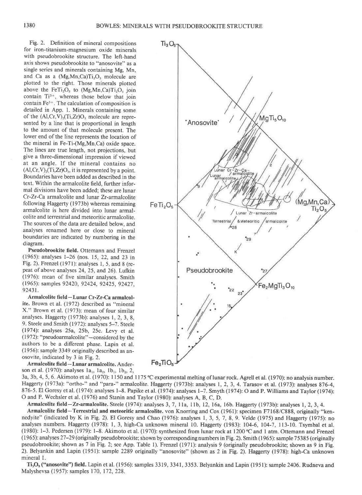$Ti<sub>3</sub>O<sub>5</sub>$ 

Fig. 2. Definition of mineral compositions for iron-titanium-magnesium oxide minerals with pseudobrookite structure. The left-hand axis shows pseudobrookite to "anosovite" as a single series and minerals containing Mg, Mn, and Ca as a  $(Mg, Mn, Ca)Ti<sub>2</sub>O<sub>5</sub>$  molecule are plotted to the right. Those minerals plotted above the  $FeTi<sub>2</sub>O<sub>5</sub>$  to  $(Mg<sub>5</sub>Mn,Ca)Ti<sub>2</sub>O<sub>5</sub>$  join contain  $Ti^{3+}$ , whereas those below that join contain Fe3+. The calculation of composition is detailed in App. 1. Minerals containing some of the  $(A1, Cr, V)<sub>2</sub>(Ti, Zr)O<sub>5</sub>$  molecule are represented by a line that is proportional in length to the amount of that molecule present. The lower end of the line represents the location of the mineral in Fe-Ti-(Mg,Mn,Ca) oxide space. The lines are true length, not projections, but give a three-dimensional impression if viewed at an angle. If the mineral contains no  $(Al, Cr, V)<sub>2</sub>(Ti, Zr)O<sub>5</sub>$ , it is represented by a point. Boundaries have been added as described in the text. Within the armalcolite field, further informal divisions have been added; these are lunar Cr-Zr-Ca armalcolite and lunar Zr-armalcolite following Haggerty (1973b) whereas remaining armalcolite is here divided into lunar armalcolite and terrestrial and meteoritic armalcolite. The sources of the data are detailed below, and analyses renamed here or close to mineral boundaries are indicated by numbering in the diagram.

Pseudobrookite field. Ottemann and Frenzel (1965): analyses l-26 (nos. 15, 22, and 23 in Fig. 2). Frenzel (1971): analyses 1, 5, and 8 (repeat of above analyses  $24$ ,  $25$ , and  $26$ ). Lufkin (1976): mean of five similar analyses. Smith (l 965): samples 92420, 92424, 92425, 92427, 92431.

Armalcolite field-Lunar Cr-Zr-Ca armalcolite. Brown et al. (1972) described as "mineral X." Brown et al. (1973): mean of four similar analyses. Haggerty (1973b): analyses 1, 2, 3, 8, 9. Steele and Smith (1972): analyses 5-7. Steele (1974): analyses 25a, 25b, 25c. Levy et al. (1972): "pseudoarmalcolite" - considered by the authors to be a different phase. Lapin et al. (1956): sample 3349 originally described as anosovite, indicated by 3 in Fig. 2.

Armalcolite field-Lunar arrnalcolite. Anderson et al. (1970): analyses  $1a_1$ ,  $1a_2$ ,  $1b_1$ ,  $1b_2$ , 2,



3a, 3b, 4, 5, 6. Akimoto et al. (1970): 1150 and 1175 °C experimental melting of lunar rock. Agrell et al. (1970): no analysis number. Haggerty (1973a): "ortho-" and "para-" armalcolite. Haggerty (1973b): analyses l, 2, 3, 4. Tarasov et al. (1973): analyses 876-4, 876-5. El Goresy et al. (1974): analyses l-8. Papike et al. (1974): analyses 1-7. Smyth (1974): O and P. Williams and Taylor (1974): O and P. Wechsler et al. (1976) and Stanin and Taylor (1980): analyses A, B, C, D.

Armalcolite field-Zr-armalcolite. Steele (1974): analyses 3, 7, 11a, 11b, 12, 16a, 16b. Haggerty (1973b): analyses 1, 2, 3, 4.

Armalcolite field-Terrestrial and meteoritic armalcolite. von Knorring and Cox (1961): specimen F7168/C888, originally "kennedyite" (indicated by K in Fig. 2). El Goresy and Chao (1976): analyses I, 3, 5, 7,8, 9. Velde (1975) and Haggerty (1975): no analyses numbers. Haggerty (1978): l, 3, high-Ca unknown mineral 10. Haggerty (1983): 104-6, 104-7, ll3-10. Tsymbal et al. (1980): 1-3. Pedersen (1979): l-8. Akimoto et al. (1970): synthesized from lunar rock at 1200'C and 1 atm. Ottemann and Frenzel (1965): analyses2T-29 (originally pseudobrookite; shown by corresponding numbers in Fig. 2). Smith (l 965): sample 75385 (originally pseudobrookite; shown as 7 in Fig. 2; see App. Table 1). Frenzel (1971): analysis 9 (originally pseudobrookite; shown as 9 in Fig. 2). Belyankin and Lapin (1951): sample 2289 oiginally "anosovite" (shown as 2 in Fig. 2). Haggerty (1978): high-Ca unknown mineral l.

 $Ti<sub>3</sub>O<sub>5</sub>$  ("anosovite") field. Lapin et al. (1956): samples 3319, 3341, 3353. Belyankin and Lapin (1951): sample 2406. Rudneva and Malyshevsa (1957): samples 170, 172, 228.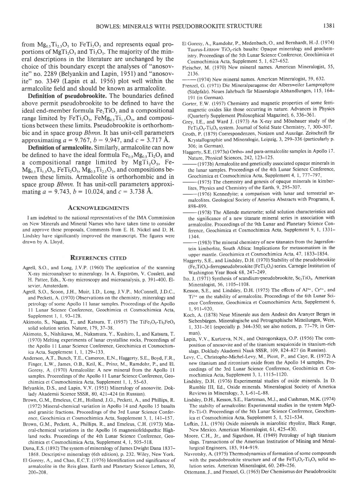from  $Mg_{0.5}Ti_{2.5}O_5$  to FeTi<sub>2</sub>O<sub>5</sub> and represents equal proportions of  $MgTi<sub>2</sub>O<sub>5</sub>$  and  $Ti<sub>3</sub>O<sub>5</sub>$ . The majority of the mineral descriptions in the literature are unchanged by the choice of this boundary except the analyses of "anosovite" no. 2289 (Belyankin and Lapin, l95l) and "anosovite" no. 3349 (Lapin et al. 1956) plot well within the armalcolite field and should be known as armalcolite.

Definition of pseudobrookite. The boundaries defined above permit pseudobrookite to be defined to have the ideal end-member formula  $Fe<sub>2</sub>TiO<sub>5</sub>$  and a compositional range limited by FeTi<sub>2</sub>O<sub>5</sub>, FeMg<sub>0.5</sub>Ti<sub>1.5</sub>O<sub>5</sub>, and compositions between these limits. Pseudobrookite is orthorhombic and in space group *Bbmn*. It has unit-cell parameters approximating  $a = 9.767$ ,  $b = 9.947$ , and  $c = 3.717$  Å.

Definition of armalcolite. Similarly, armalcolite can now be defined to have the ideal formula  $Fe<sub>0.5</sub>Mg<sub>0.5</sub>Ti<sub>2</sub>O<sub>5</sub>$  and a compositional range limited by  $MgTi<sub>2</sub>O<sub>5</sub>$ , Fe- $Mg_{0.5}Ti_{1.5}O_5$ , FeTi<sub>2</sub>O<sub>5</sub>, Mg<sub>0.5</sub>Ti<sub>2.5</sub>O<sub>5</sub>, and compositions between these limits. Armalcolite is orthorhombic and in space group *Bbmn*. It has unit-cell parameters approximating  $a = 9.743$ ,  $b = 10.024$ , and  $c = 3.738$  Å.

### **ACKNOWLEDGMENTS**

I am indebted to the national representatives of the IMA Commission on New Minerals and Mineral Names who have taken time to consider and approve these proposals. Comments from E. H. Nickel and D. H. Lindsley have significantly improved the manuscript. The figures were drawn by A. Lloyd

#### **REFERENCES CITED**

- Agrell, S.O., and long, J.V.P. (1960) The application of the scanning X-ray microanalyser to mineralogy. In A. Engström, V. Cosslett, and H. Pattee, Eds., X-ray microscopy and microanalysis, p. 391-400. Elsevier, Amsterdam.
- Agrell, S.O., Scoon, J.H., Muir, I.D., Long, J.V.P., McConnell, J.D.C., and Peckett, A. (1970) Observations on the chemistry, mineralogy and petrology of some Apollo 11 lunar samples. Proceedings of the Apollo 11 Lunar Science Conference, Geochimica et Cosmochimica Acta, Supplement 1, 1, 93-128.
- Akimoto, S., Nagata, T., and Katsura, T. (1957) The TiFe<sub>2</sub>O<sub>5</sub>-Ti<sub>2</sub>FeO<sub>5</sub> solid solution series. Nature, 179, 37-38.
- Akimoto, S., Nishikawa, M., Nakamura, Y., Kushiro, I., and Katsura, T. (1970) Melting experiments of lunar crystalline rocks Proceedings of the Apollo 11 Lunar Science Conference, Geochimica et Cosmochimica Acta, Supplement l, l,129-133
- Anderson, A.T., Bunch, T.E., Cameron, E.N., Haggerty, S.E., Boyd, F.R., Finger, LW, James, O.B., Keil, K., Prinz, M., Ramdohr, P., and El. Goresy, A. (1970) Armalcolite: A new mineral from the Apollo 11 samples. Proceedings of the Apollo 11 Lunar Science Conference, Geochimica et Cosmochimica Acta, Supplement I, l, 55-63
- Belyankin, D.S., and Lapin, V.V. (1951) Mineralogy of anosovite. Doklady Akademii Science SSSR, 80, 421-424 (in Russian).
- Brown, G.M., Emeleus, C.H., Holland, J.G., Peckett, A., and Phillips, R. (1972) Mineral-chemical variation in Apollo 14 and Apollo 15 basalts and granitic fractions. Proceedings of the 3rd Lunar Science Conference, Geochimica et Cosmochimica Acta, Supplement 3, l, l4l-157
- Brown, G.M., Peckett, A., Phillips, R., and Emeleus, C.H. (1973) Mineral-chemical variations in the Apollo 16 magnesiofeldspathic Highland rocks. Proceedings of the 4th Lunar Science Conference, Geochimica et Cosmochimica Acta, Supplement 4, 1, 505-518.
- Dana, E.S. ( 1892) The system of mineralogy of James Dwight Dana I 837- 1868 Descriptive mineralogy (6th edition), p.232 Wlley, New York.
- El Goresy, A., and Chao, E.C.T. (1976) Identification and significance of armalcolite in the Reis glass. Earth and Planetary Science Letters, 30, 200-208
- El Goresy, A., Ramdohr, P., Medenbach, O., and Bernhardt, H.-J. (1974) Taurus-Littrow TiO<sub>2</sub>-rich basalts: Opaque mineralogy and geochemistry. Proceedings of the 5th Lunar Science Conference, Geochimica et Cosmochimica Acta, Supplement 5, 1, 627-652.
- Fleischer, M. (1970) New mineral names. American Mineralogist, 55, 2136.
- -(1974) New mineral names. American Mineralogist, 59, 632.
- Frenzel, G. (1971) Die Mineralparagense der Albersweiler Lamprophyre (Südpfalz). Neues Jahrbuch für Mineralogie Abhandlungen, 115, 164l9l (in German).
- Gorter, E.W. (1957) Chemistry and magnetic properties of some ferrimagnetic oxides like those occurring in nature. Advances in Physics (Quarterly Supplement Philosophical Magazine), 6, 336-361.
- Grey, I.E, and Ward I. (1973) An X-ray and M6ssbauer study of the FeTi<sub>2</sub>O<sub>5</sub>-Ti<sub>3</sub>O<sub>5</sub> system. Journal of Solid State Chemistry, 7, 300-307.
- Groth, P. (18?9) Correspondenzen, Notizen und Ausziige. Zeitschrift fiir Krystallographie und Mineralogie, Leipzig, 3, 299-336 (particularly p. 306: in German)
- Haggerty, S.E. (1973a) Ortho- and para-armalcolite samples in Apollo 17. Nature, Physical Sciences, 242, 123-125.
- ( I 973b) Armalcolite and genetically associated opaque minerals in the lunar samples. Proceedings of the 4th Lunar Science Conference, Geochimica et Cosmochimica Acta, Supplement 4, 1, 777-797.
- (1975) The chemistry and genesis of opaque minerals in kimberlites, Physics and Chemistry of the Earth, 9, 295–307.
- -(1976) Kennedyite; a comparison with lunar and terrestrial armalcolites. Geological Society of America Abstracts with Programs, 8, 898-899.
- -(1978) The Allende meterorite; solid solution characteristics and the significance of a new titanate mineral series in association with armalcolite. Proceedings of the 9th Lunar and Planetary Science Conference, Geochimica et Cosmochimica Acta, Supplement 9, 1, 1331-1344.
- (1983) The mineral chemistry of new titanates from the Jagersfontein kimberlite, South Africa: Implications for metasomatism in the upper mantle. Geochimica et Cosmochimica Acta, 47 , 1833-1854.
- Haggerty, S.E., and Lindsley, D.H. (1970) Stability of the pseudobrookite (Fe<sub>2</sub>TiO<sub>5</sub>)-ferropseudobrookite (FeTi<sub>2</sub>O<sub>5</sub>) series. Carnegie Institution of Washington Year Book 68,247-249
- Ito, J. (1971) Synthesis of scandium pseudobrookite,  $Sc<sub>2</sub>TiO<sub>5</sub>$ . American Mineralogist, 56, I105-l 108.
- Kesson, S.E., and Lindsley, D.H. (1975) The effects of Al<sup>3+</sup>, Cr<sup>3+</sup>, and Ti3+ on the stability of armalcolite. Proceedings of the 6th Lunar Science Conference, Geochimica et Cosmochimica Acta, Supplement 6, l, 91 l-920
- Koch, A. (1878) Neue Minerale aus dem Andesit des Aranyer Berges in Siebenbürgen. Mineralogische und Petrographische Mitteilungen, Wein, 1, 331-361 (especially p. 344-350; see also notices, p. 77-79; in German)
- Lapin, V.V., Kurtzeva, N.N., and Ostrogorskaya, O.P. (1956) The composition of anosovite and of the titanium sesquioxide in titanium-rich slags. Doklady Akademii Nauk SSSR, 109, 824-827 (in Russian).
- Levy, C., Christophe-Michel-Levy, M., Picot, P., and Caye, R. (1972) A new titanium and zirconium oxide from the Apollo 14 samples. Proceedings of the 3rd Lunar Science Conference, Geochimica et Cosmochimica Acta, Supplement 3, 1, 1115-1120.
- Lindsley, D.H. (1976) Experimental studies of oxide minerals. In D. Rumble III, Ed., Oxide minerals. Mineralogical Society of America Reviews in Mineralogy, 3, L-61-L-88.
- Lindsley, D.H., Kesson, S.E., Hartzman, M.J., and Cushman, M.K. (1974) The stabilty of armalcolite: Experimental studies in the system MgO-Fe-Ti-O. Proceedings of the 5th Lunar Science Conference, Geochimica et Cosmochimica Acta, Supplement 5, l, 521-534
- Lufkin, J.L (1976) Oxide minerals in miarolitic rhyolite, Black Range, New Mexico. American Mineralogist, 61, 425-430.
- Moore, C.H , Jr, and Sigurdson, H. (1949) Petrology of high titanium slags. Transactions of the American Institution of Mining and Metallurgical Engineers, 185, 914-919.
- Navrotsky, A. (1975) Thermodynamics of formation of some compounds with the pseudobrookite structure and of the  $FeTi<sub>2</sub>O<sub>5</sub>-Ti<sub>3</sub>O<sub>5</sub>$  solid solution series. American Mineralogist, 60, 249-256
- Ottemann, J.. and Frenzel, G. (1965) Der Chemismus der Pseudobrookite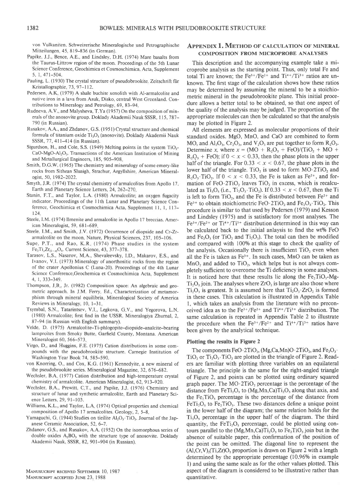von Vulkaniten Schweizerische Mineralogische und Petrographische Mitteilungen, 45, 819-836 (in German).

- Papike, J.J, Bence, A.E., and Lindsley, D.H. (1974) Mare basalts from the Taurus-Littrow region of the moon. Proceedings of the 5th Lunar Science Conference, Geochimica et Cosmoschimica Acta, Supplement 5. t, 47 l-504.
- Pauling, L. (1930) The crystal structure of pseudobrookite. Zeitschrift für Kristallographie, 73, 97-112.
- Pedersen, A.K. (1979) A shale buchite xenolith with Al-armalcolite and native iron in a lava from Asuk. Disko. central West Greenland. Contributions to Mineralogy and Petrology, 69,83-94
- Rudneva, A.V , and Malysheva, T.Ya (1957) On the composition of minerals of the anosovite group. Doklady Akademii Nauk SSSR, 115, 787-790 (in Russian).
- Rusakov, A.A., and Zhdanov, G.S. (l951) Crystal structure and chemical formula of titanium oxide  $Ti<sub>3</sub>O<sub>5</sub>$  (anosovite). Doklady Akademii Nauk SSSR,77, 4ll-414 (in Russian).
- Sigurdson, H., and Cole, S.S. (1949) Melting points in the system TiO<sub>2</sub>-CaO-MgO-Al<sub>2</sub>O<sub>3</sub>. Transactions of the American Institution of Mining and Metallurgical Engineers, 185, 905-908
- Smith, D.G.W. (1965) The chemistry and mineralogy of some emery-like rocks from Sithean Sluaigh, Strachur, Argyllshire American Mineralogist,50, 1982-2022.
- Smyth, J.R. (1974) The crystal chemistry of armalcolites from Apollo 17. Earth and Planetary Science Letters, 24, 262-270.
- Stanin, F.T, and Taylor, L.A. (1980) Armalcolite; an oxygen fugacity indicator. Proceedings of the I lth Lunar and Planetary Science Conference, Geochimica et Cosmochimica Acta, Supplement ll, l, l17- 124
- Steele, I.M. (1974) Ilmenite and armalcolite in Apollo l7 breccias. American Mineralogist, 59, 681-689
- Steele, I.M., and Smith, J.V. (1972) Occurrence of diopside and Cr-Zrarmalcolite on the moon. Nature, Physical Sciences, 237, 105-106.
- Supe, P.T., and Rao, K.R (1974) Phase studies in the system  $Fe<sub>2</sub>Ti<sub>x</sub>Zr<sub>(1-x)</sub>O<sub>5</sub>$ . Current Science, 43, 377-378.
- Tarasov, L.S., Nasarov, M.A., Shevaleevsky, I.D., Makarov, E.S., and Ivanov, V.I. (1973) Mineralogy of anorthositic rocks from the region of the crater Apollonius C (Luna-20). Proceedings of the 4th Lunar Science Conference,Geochemica et Cosmochimica Acta, Supplement 4, t, 333-349.
- Thompson, J.B., Jr. (1982) Composition space: An algebraic and geometric approach. In J.M. Ferry, Ed., Characterization of metamorphism through mineral equilibria Mineralogical Society of America Reviews in Mineralogy, 10, l-31
- Tsymbal, S.N., Tatarintsev, V.I., Legkova, G.V., and Yegorova, L.N. (1980) Armalcolite; first find in the USSR. Mineralogiya Zhumal,2, 87-94 (in Russian with English summary).
- Velde, D. (1975) Armalcolite-Ti-phlogopite-diopside-analcite-bearing lamproites from Smoky Butte, Garfield County, Montana. American Mineralogist 60, 566-573.
- Virgo, D., and Huggins, F.E. (1975) Cation distributions in some compounds with the pseudobrookite structure. Camegie Institution of Washington Year Book 74, 585-590
- von Knorring, O., and Cox, K.G. (1961) Kennedyite, a new mineral of the pseudobrookite series. Mineralogical Magazine, 32, 676-682.
- Wechsler, B.A. (1977) Cation distribution and high-temperature crystal chemistry of armalcolite. American Mineralogist, 62, 913-920.
- Wechsler, BA., Prewitt, CT., and Papike, J.J. (1976) Chemistry and structure of lunar and synthetic armalcolite. Earth and Planetary Science Letters. 29. 9l-103.
- Williams, K.L., and Taylor, L.A (1974) Optical properties and chemical composition of Apollo 17 armalcolites. Geology, 2, 5-8.
- Yamaguchi, G. (1944) Studies on tieilite Al<sub>2</sub>O<sub>3</sub>. TiO<sub>2</sub>. Journal of the Japanese Ceramic Association, 52, 6-7.
- Zhdanov, G.S., and Rusakov, A.A. (1952) On the isomorphous series of double oxides A<sub>2</sub>BO<sub>3</sub> with the structure type of anosovite. Doklady Akademii Nauk, SSSR, 82,901-904 (in Russian).

MANUSUCRIPT RECEIVED SEPTEMBER 10, 1987 MANUSCRIPT ACCEPTED JUNE 23, 1988

# Appendix 1. Method of calculation of mineral COMPOSITION FROM MICROPROBE ANALYSES

This description and the accompanying example take a microprobe analysis as the starting point. Thus, only total Fe and total Ti are known; the Fe<sup>3+</sup>/Fe<sup>2+</sup> and  $Ti^{4+}/Ti^{3+}$  ratios are unknown. The first stage of the calculation shows how these ratios may be determined by assuming the mineral to be a stoichiometric mineral in the pseudobrookite plane. This initial procedure allows a better total to be obtained, so that one aspect of the quality of the analysis may be judged. The proportion of the appropriate molecules can then be calculated so that the analysis may be plotted in Figure 2.

All elements are expressed as molecular proportions of their standard oxides. MgO, MnO, and CaO are combined to form MO, and  $\text{Al}_2\text{O}_3$ ,  $\text{Cr}_2\text{O}_3$ , and  $\text{V}_2\text{O}_3$  are put together to form  $\text{R}_2\text{O}_3$ . Determine x, where  $x = (MO + R_2O_3 + FeO)/(TiO_2 + MO +$  $R_2O_3$  + FeO); if  $0 < x < 0.33$ , then the phase plots in the upper half of the triangle. For  $0.33 < x < 0.67$ , the phase plots in the lower half of the triangle. TiO<sub>2</sub> is used to form  $MO$  2TiO<sub>2</sub> and R<sub>2</sub>O<sub>3</sub>. TiO<sub>2</sub>. If  $0 < x < 0.33$ , the Fe is taken as Fe<sup>2+</sup>, and formation of FeO  $2TiO<sub>2</sub>$  leaves  $TiO<sub>2</sub>$  in excess, which is recalculated as  $Ti_3O_5$  (i.e.,  $Ti_2O_3$   $Ti_3O_2$ ). If 0.33 < x < 0.67, then the Ti is left to form  $TiO<sub>2</sub>$ , and the Fe is distributed between Fe<sup>2+</sup> and  $Fe<sup>3+</sup>$  to obtain stoichiometric FeO $\cdot$ 2TiO<sub>2</sub> and Fe<sub>2</sub>O<sub>3</sub> $\cdot$ TiO<sub>2</sub>. This procedure is similar to that used by Pedersen (1979) and Kesson and Lindsley (1975) and is satisfactory for most analyses. The  $Fe<sup>3+</sup>/Fe<sup>2+</sup>$  or Ti<sup>4+</sup>/Ti<sup>3+</sup> distribution determined in this way can be calculated back to the initial anlaysis to find the wt% FeO and  $Fe<sub>2</sub>O<sub>3</sub>$  (or TiO<sub>2</sub> and Ti<sub>2</sub>O<sub>3</sub>). The total can then be modified and compared with 100% at this stage to check the quality of the analysis. Occasionally there is insufficient  $TiO<sub>2</sub>$  even when all the Fe is taken as Fe3+. In such cases, MnO can be taken as  $MnO<sub>2</sub>$  and added to TiO<sub>2</sub>, which helps but is not always completely sufficient to overcome the Ti deficiency in some analyses. It is noticed here that these results lie along the  $Fe<sub>2</sub>TiO<sub>5</sub>$ -Mg- $Ti<sub>2</sub>O<sub>5</sub>$  join. The analyses where  $ZrO<sub>2</sub>$  is large are also those where  $Ti<sub>2</sub>O<sub>3</sub>$  is greatest. It is assumed here that  $Ti<sub>2</sub>O<sub>3</sub>$   $ZrO<sub>2</sub>$  is formed in these cases. This calculation is illustrated in Appendix Table 1, which takes an analysis from the literature with no preconceived idea as to the  $Fe^{3+}/Fe^{2+}$  and  $Ti^{4+}/Ti^{3+}$  distribution. The same calculation is repeated in Appendix Table 2 to illustrate the procedure when the  $Fe^{3+}/Fe^{2+}$  and  $Ti^{4+}/Ti^{3+}$  ratios have been given by the analytical technique.

#### Plotting the results in Figure 2

The components FeO $\cdot$ 2TiO<sub>2</sub>, (Mg,Ca,Mn)O $\cdot$ 2TiO<sub>2</sub>, and Fe<sub>2</sub>O<sub>3</sub>.  $TiO<sub>2</sub>$  or  $Ti<sub>2</sub>O<sub>3</sub>$  TiO<sub>2</sub> are plotted in the triangle of Figure 2. Readers are familiar with plotting three variables on an equilateral triangle. The principle is the same for the right-angled triangle of Figure 2, and points can be plotted using ordinary squared graph paper. The  $MO 2TiO<sub>2</sub>$  percentage is the percentage of the distance from  $FeTi<sub>2</sub>O<sub>5</sub>$  to (Mg, Mn, Ca) $Ti<sub>2</sub>O<sub>5</sub>$  along that axis, and the  $Fe<sub>2</sub>TiO<sub>5</sub>$  percentage is the percentage of the distance from  $FeTi.O$ , to  $Fe<sub>2</sub>TiO$ . These two distances define a unique point in the lower half of the diagram; the same relation holds for the Ti.O, percentage in the upper half of the diagram. The third quantity, the  $FeTi, O$ , percentage, could be plotted using contours parallel to the  $(Mg, Mn, Ca)Ti, O<sub>5</sub>$  to  $Fe<sub>2</sub>TiO<sub>5</sub>$  join but in the absence of suitable paper, this confimation of the position of the point can be omitted. The diagonal line to represent the  $(Al,Cr,V)$ <sub>2</sub> $(Ti,Zr)O<sub>s</sub>$  proportion is drawn on Figure 2 with a length determined by the appropriate percentage  $(10.96\%$  in example l) and using the same scale as for the other values plotted. This aspect of the diagram is considered to be illustrative rather than quantitative.